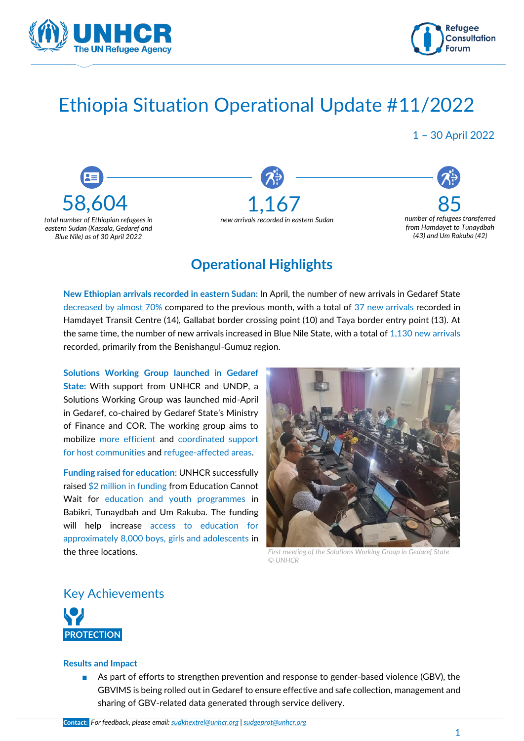



# Ethiopia Situation Operational Update #11/2022

1 – 30 April 2022



## **Operational Highlights**

**New Ethiopian arrivals recorded in eastern Sudan:** In April, the number of new arrivals in Gedaref State decreased by almost 70% compared to the previous month, with a total of 37 new arrivals recorded in Hamdayet Transit Centre (14), Gallabat border crossing point (10) and Taya border entry point (13). At the same time, the number of new arrivals increased in Blue Nile State, with a total of 1,130 new arrivals recorded, primarily from the Benishangul-Gumuz region.

**Solutions Working Group launched in Gedaref State:** With support from UNHCR and UNDP, a Solutions Working Group was launched mid-April in Gedaref, co-chaired by Gedaref State's Ministry of Finance and COR. The working group aims to mobilize more efficient and coordinated support for host communities and refugee-affected areas.

**Funding raised for education**: UNHCR successfully raised \$2 million in funding from Education Cannot Wait for education and youth programmes in Babikri, Tunaydbah and Um Rakuba. The funding will help increase access to education for approximately 8,000 boys, girls and adolescents in the three locations.



*First meeting of the Solutions Working Group in Gedaref State © UNHCR*

Key Achievements



#### **Results and Impact**

As part of efforts to strengthen prevention and response to gender-based violence (GBV), the GBVIMS is being rolled out in Gedaref to ensure effective and safe collection, management and sharing of GBV-related data generated through service delivery.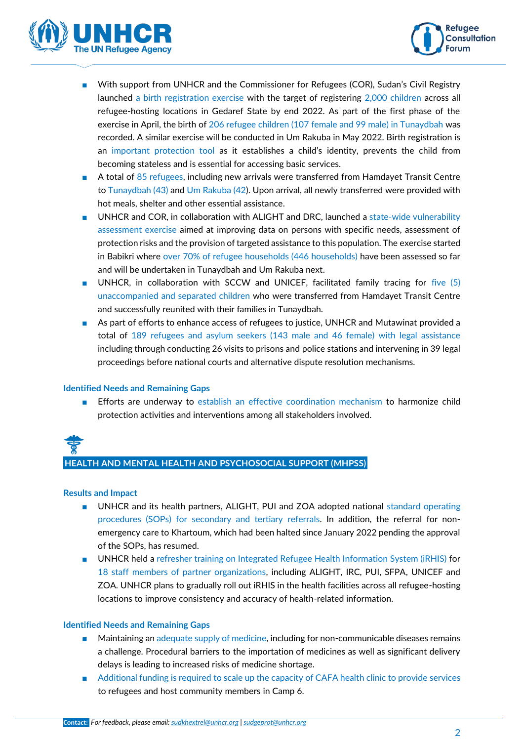



- With support from UNHCR and the Commissioner for Refugees (COR), Sudan's Civil Registry launched a birth registration exercise with the target of registering 2,000 children across all refugee-hosting locations in Gedaref State by end 2022. As part of the first phase of the exercise in April, the birth of 206 refugee children (107 female and 99 male) in Tunaydbah was recorded. A similar exercise will be conducted in Um Rakuba in May 2022. Birth registration is an important protection tool as it establishes a child's identity, prevents the child from becoming stateless and is essential for accessing basic services.
- A total of 85 refugees, including new arrivals were transferred from Hamdayet Transit Centre to Tunaydbah (43) and Um Rakuba (42). Upon arrival, all newly transferred were provided with hot meals, shelter and other essential assistance.
- UNHCR and COR, in collaboration with ALIGHT and DRC, launched a state-wide vulnerability assessment exercise aimed at improving data on persons with specific needs, assessment of protection risks and the provision of targeted assistance to this population. The exercise started in Babikri where over 70% of refugee households (446 households) have been assessed so far and will be undertaken in Tunaydbah and Um Rakuba next.
- UNHCR, in collaboration with SCCW and UNICEF, facilitated family tracing for five (5) unaccompanied and separated children who were transferred from Hamdayet Transit Centre and successfully reunited with their families in Tunaydbah.
- As part of efforts to enhance access of refugees to justice, UNHCR and Mutawinat provided a total of 189 refugees and asylum seekers (143 male and 46 female) with legal assistance including through conducting 26 visits to prisons and police stations and intervening in 39 legal proceedings before national courts and alternative dispute resolution mechanisms.

#### **Identified Needs and Remaining Gaps**

■ Efforts are underway to establish an effective coordination mechanism to harmonize child protection activities and interventions among all stakeholders involved.

# **HEALTH AND MENTAL HEALTH AND PSYCHOSOCIAL SUPPORT (MHPSS)**

#### **Results and Impact**

- UNHCR and its health partners, ALIGHT, PUI and ZOA adopted national standard operating procedures (SOPs) for secondary and tertiary referrals. In addition, the referral for nonemergency care to Khartoum, which had been halted since January 2022 pending the approval of the SOPs, has resumed.
- UNHCR held a refresher training on Integrated Refugee Health Information System (iRHIS) for 18 staff members of partner organizations, including ALIGHT, IRC, PUI, SFPA, UNICEF and ZOA. UNHCR plans to gradually roll out iRHIS in the health facilities across all refugee-hosting locations to improve consistency and accuracy of health-related information.

#### **Identified Needs and Remaining Gaps**

- Maintaining an adequate supply of medicine, including for non-communicable diseases remains a challenge. Procedural barriers to the importation of medicines as well as significant delivery delays is leading to increased risks of medicine shortage.
- Additional funding is required to scale up the capacity of CAFA health clinic to provide services to refugees and host community members in Camp 6.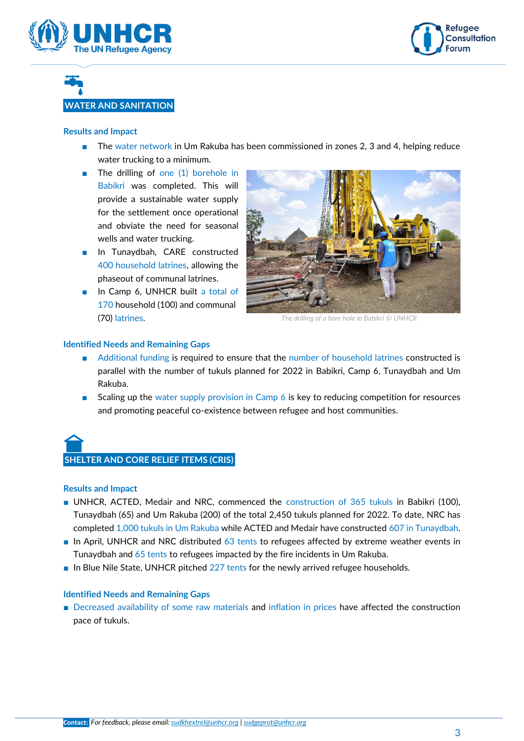



# **WATER AND SANITATION**

#### **Results and Impact**

- The water network in Um Rakuba has been commissioned in zones 2, 3 and 4, helping reduce water trucking to a minimum.
- The drilling of one (1) borehole in Babikri was completed. This will provide a sustainable water supply for the settlement once operational and obviate the need for seasonal wells and water trucking.
- In Tunaydbah, CARE constructed 400 household latrines, allowing the phaseout of communal latrines.
- In Camp 6, UNHCR built a total of 170 household (100) and communal (70) latrines.



*The drilling of a bore hole in Babikri © UNHCR*

#### **Identified Needs and Remaining Gaps**

- Additional funding is required to ensure that the number of household latrines constructed is parallel with the number of tukuls planned for 2022 in Babikri, Camp 6, Tunaydbah and Um Rakuba.
- Scaling up the water supply provision in Camp  $6$  is key to reducing competition for resources and promoting peaceful co-existence between refugee and host communities.



#### **Results and Impact**

- UNHCR, ACTED, Medair and NRC, commenced the construction of 365 tukuls in Babikri (100), Tunaydbah (65) and Um Rakuba (200) of the total 2,450 tukuls planned for 2022. To date, NRC has completed 1,000 tukuls in Um Rakuba while ACTED and Medair have constructed 607 in Tunaydbah.
- In April, UNHCR and NRC distributed 63 tents to refugees affected by extreme weather events in Tunaydbah and 65 tents to refugees impacted by the fire incidents in Um Rakuba.
- In Blue Nile State, UNHCR pitched 227 tents for the newly arrived refugee households.

#### **Identified Needs and Remaining Gaps**

■ Decreased availability of some raw materials and inflation in prices have affected the construction pace of tukuls.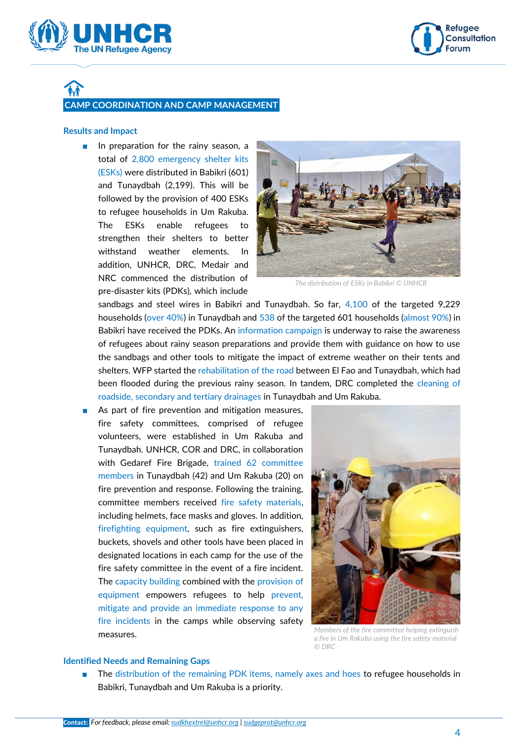



# **CAMP COORDINATION AND CAMP MANAGEMENT**

#### **Results and Impact**

■ In preparation for the rainy season, a total of 2,800 emergency shelter kits (ESKs) were distributed in Babikri (601) and Tunaydbah (2,199). This will be followed by the provision of 400 ESKs to refugee households in Um Rakuba. The ESKs enable refugees to strengthen their shelters to better withstand weather elements. In addition, UNHCR, DRC, Medair and NRC commenced the distribution of pre-disaster kits (PDKs), which include



*The distribution of ESKs in Babikri © UNHCR*

sandbags and steel wires in Babikri and Tunaydbah. So far, 4,100 of the targeted 9,229 households (over 40%) in Tunaydbah and 538 of the targeted 601 households (almost 90%) in Babikri have received the PDKs. An information campaign is underway to raise the awareness of refugees about rainy season preparations and provide them with guidance on how to use the sandbags and other tools to mitigate the impact of extreme weather on their tents and shelters. WFP started the rehabilitation of the road between El Fao and Tunaydbah, which had been flooded during the previous rainy season. In tandem, DRC completed the cleaning of roadside, secondary and tertiary drainages in Tunaydbah and Um Rakuba.

As part of fire prevention and mitigation measures, fire safety committees, comprised of refugee volunteers, were established in Um Rakuba and Tunaydbah. UNHCR, COR and DRC, in collaboration with Gedaref Fire Brigade, trained 62 committee members in Tunaydbah (42) and Um Rakuba (20) on fire prevention and response. Following the training, committee members received fire safety materials, including helmets, face masks and gloves. In addition, firefighting equipment, such as fire extinguishers, buckets, shovels and other tools have been placed in designated locations in each camp for the use of the fire safety committee in the event of a fire incident. The capacity building combined with the provision of equipment empowers refugees to help prevent, mitigate and provide an immediate response to any fire incidents in the camps while observing safety measures.



*Members of the fire committee helping extinguish a fire in Um Rakuba using the fire safety material © DRC*

#### **Identified Needs and Remaining Gaps**

The distribution of the remaining PDK items, namely axes and hoes to refugee households in Babikri, Tunaydbah and Um Rakuba is a priority.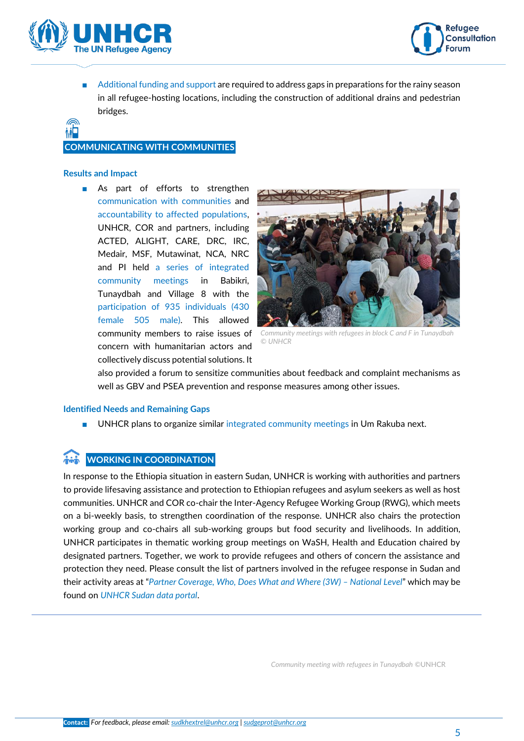



■ Additional funding and support are required to address gaps in preparations for the rainy season in all refugee-hosting locations, including the construction of additional drains and pedestrian bridges.

#### **COMMUNICATING WITH COMMUNITIES**

#### **Results and Impact**

■ As part of efforts to strengthen communication with communities and accountability to affected populations, UNHCR, COR and partners, including ACTED, ALIGHT, CARE, DRC, IRC, Medair, MSF, Mutawinat, NCA, NRC and PI held a series of integrated community meetings in Babikri, Tunaydbah and Village 8 with the participation of 935 individuals (430 female 505 male). This allowed community members to raise issues of concern with humanitarian actors and collectively discuss potential solutions. It



*Community meetings with refugees in block C and F in Tunaydbah © UNHCR*

also provided a forum to sensitize communities about feedback and complaint mechanisms as well as GBV and PSEA prevention and response measures among other issues.

#### **Identified Needs and Remaining Gaps**

UNHCR plans to organize similar integrated community meetings in Um Rakuba next.

#### **WORKING IN COORDINATION**

In response to the Ethiopia situation in eastern Sudan, UNHCR is working with authorities and partners to provide lifesaving assistance and protection to Ethiopian refugees and asylum seekers as well as host communities. UNHCR and COR co-chair the Inter-Agency Refugee Working Group (RWG), which meets on a bi-weekly basis, to strengthen coordination of the response. UNHCR also chairs the protection working group and co-chairs all sub-working groups but food security and livelihoods. In addition, UNHCR participates in thematic working group meetings on WaSH, Health and Education chaired by designated partners. Together, we work to provide refugees and others of concern the assistance and protection they need. Please consult the list of partners involved in the refugee response in Sudan and their activity areas at "[Partner Coverage, Who, Does What and Where \(3W\)](https://data2.unhcr.org/en/documents/details/90948) - National Level" which may be found on *[UNHCR Sudan data portal](https://data2.unhcr.org/en/country/sdn)*.